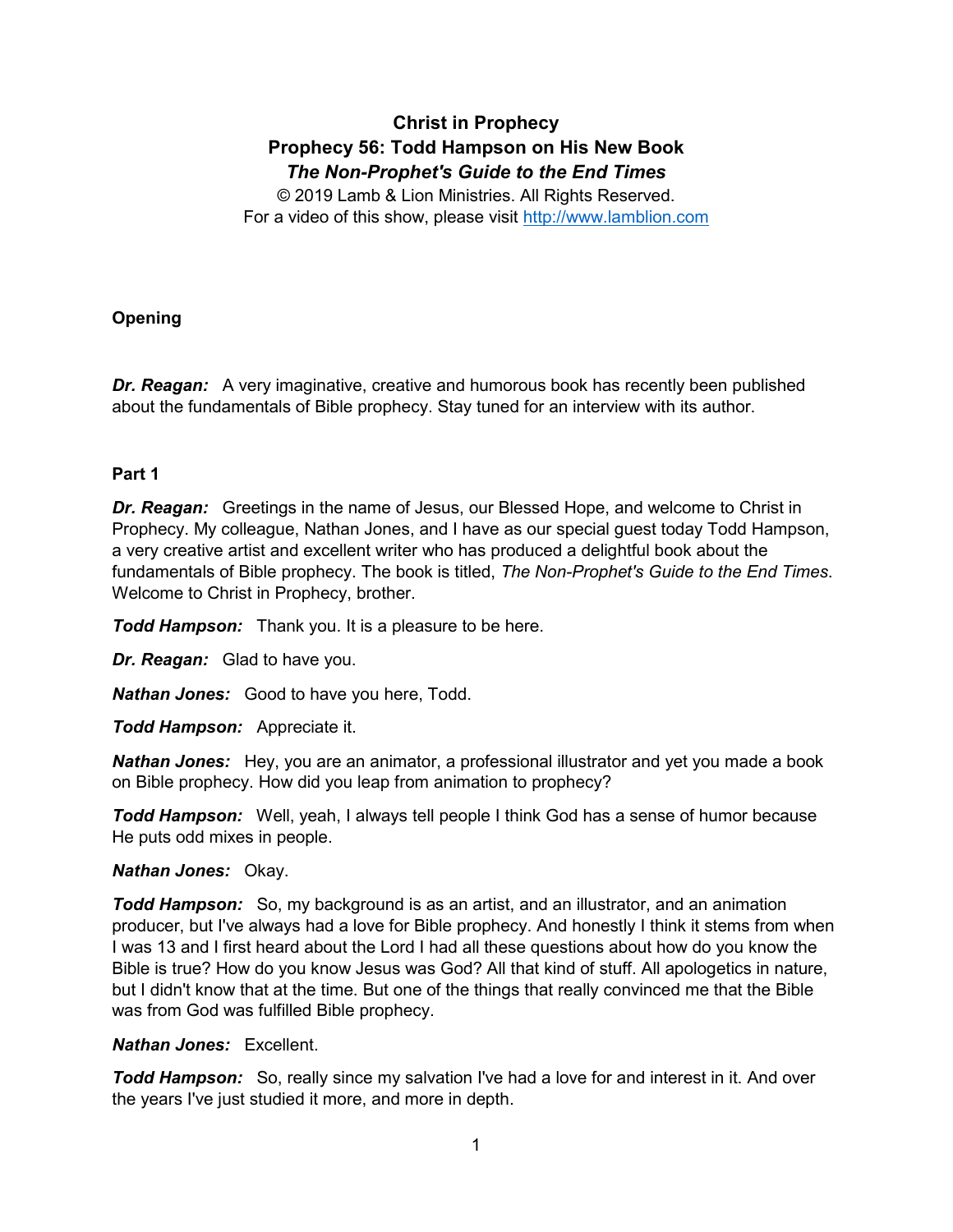# **Christ in Prophecy Prophecy 56: Todd Hampson on His New Book** *The Non-Prophet's Guide to the End Times*

© 2019 Lamb & Lion Ministries. All Rights Reserved. For a video of this show, please visit [http://www.lamblion.com](http://www.lamblion.com/)

# **Opening**

**Dr. Reagan:** A very imaginative, creative and humorous book has recently been published about the fundamentals of Bible prophecy. Stay tuned for an interview with its author.

## **Part 1**

*Dr. Reagan:* Greetings in the name of Jesus, our Blessed Hope, and welcome to Christ in Prophecy. My colleague, Nathan Jones, and I have as our special guest today Todd Hampson, a very creative artist and excellent writer who has produced a delightful book about the fundamentals of Bible prophecy. The book is titled, *The Non-Prophet's Guide to the End Times*. Welcome to Christ in Prophecy, brother.

*Todd Hampson:* Thank you. It is a pleasure to be here.

*Dr. Reagan:* Glad to have you.

*Nathan Jones:* Good to have you here, Todd.

*Todd Hampson:* Appreciate it.

*Nathan Jones:* Hey, you are an animator, a professional illustrator and yet you made a book on Bible prophecy. How did you leap from animation to prophecy?

*Todd Hampson:* Well, yeah, I always tell people I think God has a sense of humor because He puts odd mixes in people.

## *Nathan Jones:* Okay.

*Todd Hampson:* So, my background is as an artist, and an illustrator, and an animation producer, but I've always had a love for Bible prophecy. And honestly I think it stems from when I was 13 and I first heard about the Lord I had all these questions about how do you know the Bible is true? How do you know Jesus was God? All that kind of stuff. All apologetics in nature, but I didn't know that at the time. But one of the things that really convinced me that the Bible was from God was fulfilled Bible prophecy.

#### *Nathan Jones:* Excellent.

**Todd Hampson:** So, really since my salvation I've had a love for and interest in it. And over the years I've just studied it more, and more in depth.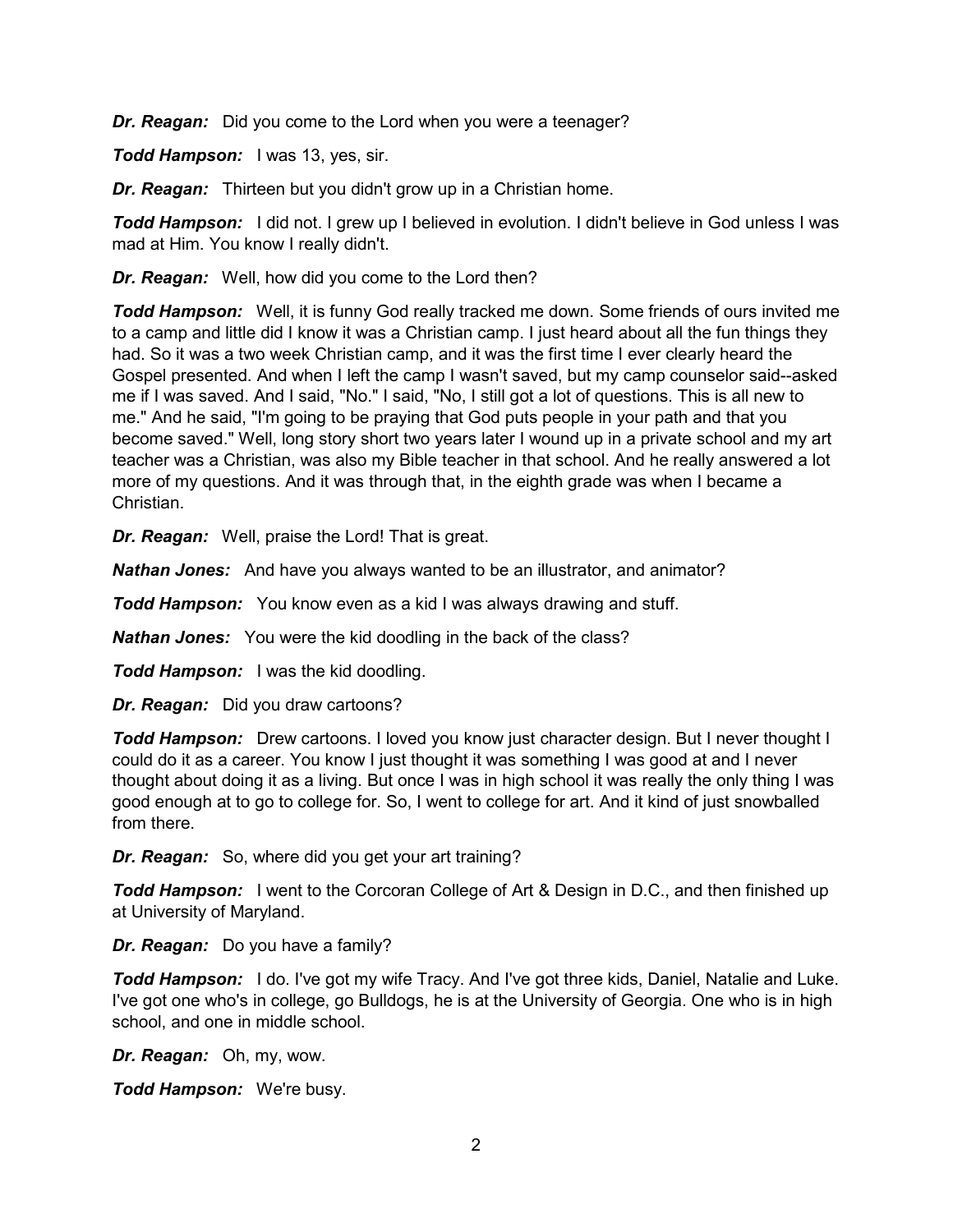*Dr. Reagan:* Did you come to the Lord when you were a teenager?

*Todd Hampson:* I was 13, yes, sir.

*Dr. Reagan:* Thirteen but you didn't grow up in a Christian home.

*Todd Hampson:* I did not. I grew up I believed in evolution. I didn't believe in God unless I was mad at Him. You know I really didn't.

*Dr. Reagan:* Well, how did you come to the Lord then?

*Todd Hampson:* Well, it is funny God really tracked me down. Some friends of ours invited me to a camp and little did I know it was a Christian camp. I just heard about all the fun things they had. So it was a two week Christian camp, and it was the first time I ever clearly heard the Gospel presented. And when I left the camp I wasn't saved, but my camp counselor said--asked me if I was saved. And I said, "No." I said, "No, I still got a lot of questions. This is all new to me." And he said, "I'm going to be praying that God puts people in your path and that you become saved." Well, long story short two years later I wound up in a private school and my art teacher was a Christian, was also my Bible teacher in that school. And he really answered a lot more of my questions. And it was through that, in the eighth grade was when I became a Christian.

*Dr. Reagan:* Well, praise the Lord! That is great.

*Nathan Jones:* And have you always wanted to be an illustrator, and animator?

*Todd Hampson:* You know even as a kid I was always drawing and stuff.

*Nathan Jones:* You were the kid doodling in the back of the class?

*Todd Hampson:* I was the kid doodling.

*Dr. Reagan:* Did you draw cartoons?

*Todd Hampson:* Drew cartoons. I loved you know just character design. But I never thought I could do it as a career. You know I just thought it was something I was good at and I never thought about doing it as a living. But once I was in high school it was really the only thing I was good enough at to go to college for. So, I went to college for art. And it kind of just snowballed from there.

*Dr. Reagan:* So, where did you get your art training?

**Todd Hampson:** I went to the Corcoran College of Art & Design in D.C., and then finished up at University of Maryland.

*Dr. Reagan:* Do you have a family?

*Todd Hampson:* I do. I've got my wife Tracy. And I've got three kids, Daniel, Natalie and Luke. I've got one who's in college, go Bulldogs, he is at the University of Georgia. One who is in high school, and one in middle school.

*Dr. Reagan:* Oh, my, wow.

*Todd Hampson:* We're busy.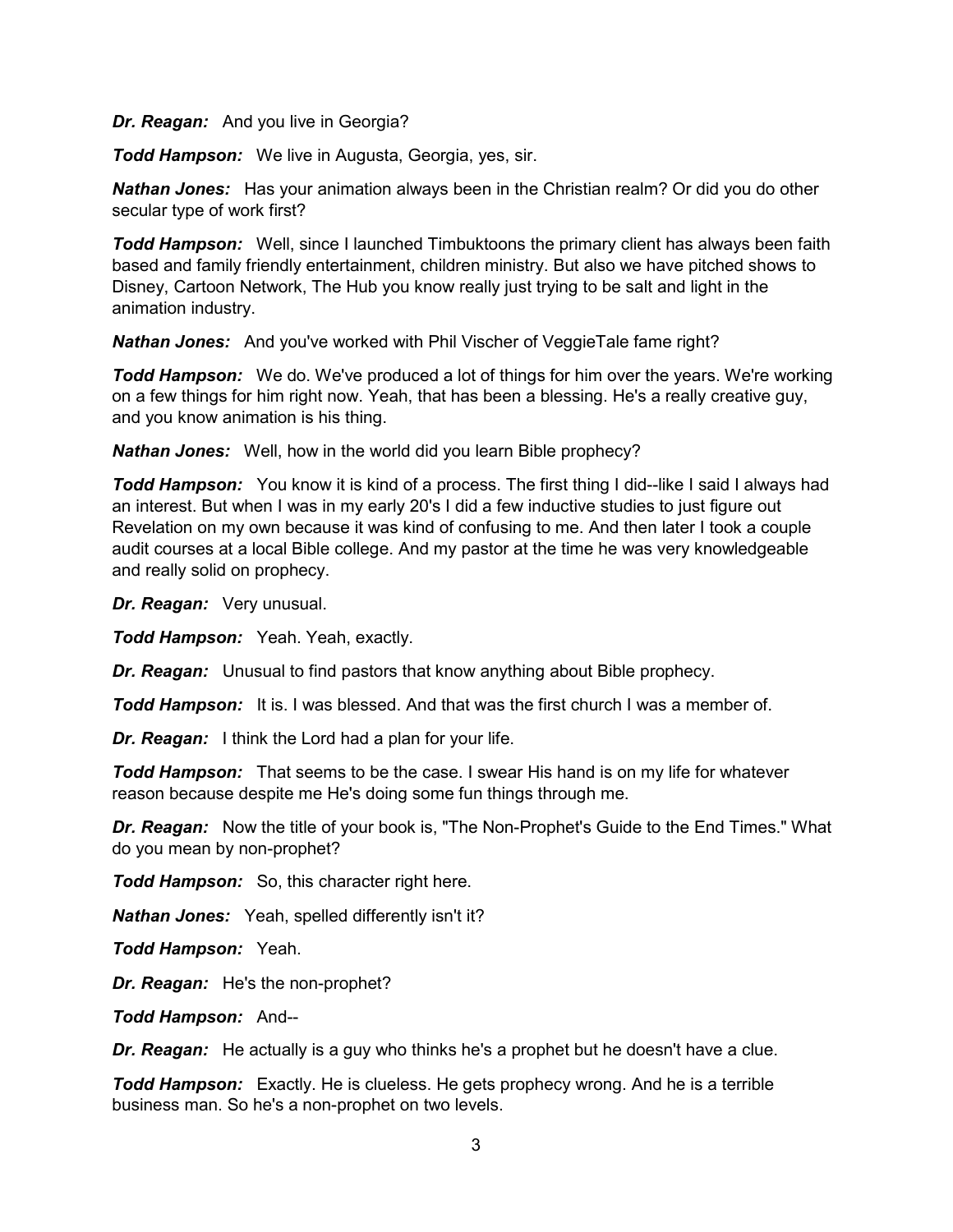*Dr. Reagan:* And you live in Georgia?

*Todd Hampson:* We live in Augusta, Georgia, yes, sir.

*Nathan Jones:* Has your animation always been in the Christian realm? Or did you do other secular type of work first?

*Todd Hampson:* Well, since I launched Timbuktoons the primary client has always been faith based and family friendly entertainment, children ministry. But also we have pitched shows to Disney, Cartoon Network, The Hub you know really just trying to be salt and light in the animation industry.

*Nathan Jones:* And you've worked with Phil Vischer of VeggieTale fame right?

*Todd Hampson:* We do. We've produced a lot of things for him over the years. We're working on a few things for him right now. Yeah, that has been a blessing. He's a really creative guy, and you know animation is his thing.

*Nathan Jones:* Well, how in the world did you learn Bible prophecy?

*Todd Hampson:* You know it is kind of a process. The first thing I did--like I said I always had an interest. But when I was in my early 20's I did a few inductive studies to just figure out Revelation on my own because it was kind of confusing to me. And then later I took a couple audit courses at a local Bible college. And my pastor at the time he was very knowledgeable and really solid on prophecy.

*Dr. Reagan:* Very unusual.

*Todd Hampson:* Yeah. Yeah, exactly.

*Dr. Reagan:* Unusual to find pastors that know anything about Bible prophecy.

*Todd Hampson:* It is. I was blessed. And that was the first church I was a member of.

*Dr. Reagan:* I think the Lord had a plan for your life.

*Todd Hampson:* That seems to be the case. I swear His hand is on my life for whatever reason because despite me He's doing some fun things through me.

*Dr. Reagan:* Now the title of your book is, "The Non-Prophet's Guide to the End Times." What do you mean by non-prophet?

*Todd Hampson:* So, this character right here.

*Nathan Jones:* Yeah, spelled differently isn't it?

*Todd Hampson:* Yeah.

*Dr. Reagan:* He's the non-prophet?

*Todd Hampson:* And--

*Dr. Reagan:* He actually is a guy who thinks he's a prophet but he doesn't have a clue.

*Todd Hampson:* Exactly. He is clueless. He gets prophecy wrong. And he is a terrible business man. So he's a non-prophet on two levels.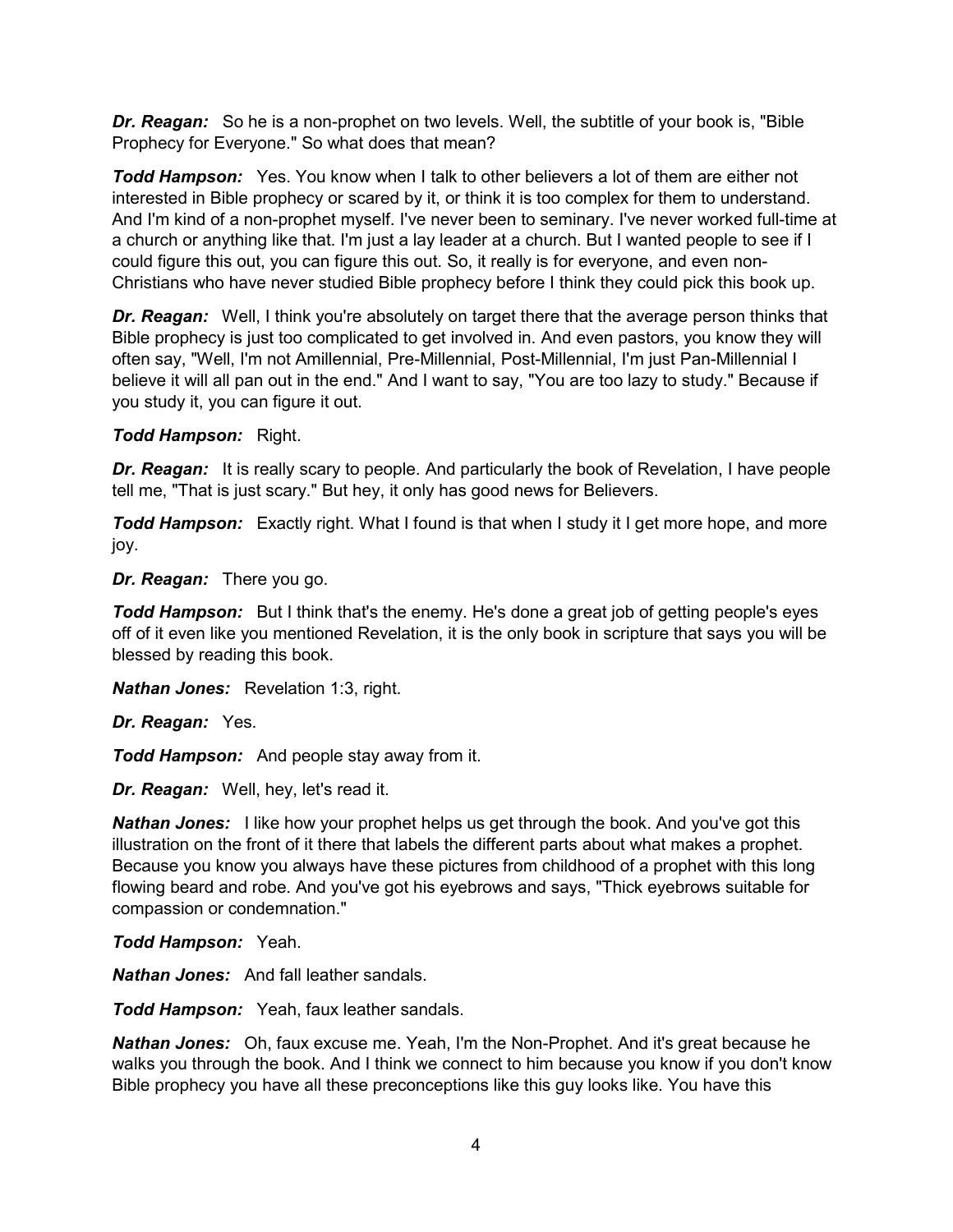*Dr. Reagan:* So he is a non-prophet on two levels. Well, the subtitle of your book is, "Bible Prophecy for Everyone." So what does that mean?

*Todd Hampson:* Yes. You know when I talk to other believers a lot of them are either not interested in Bible prophecy or scared by it, or think it is too complex for them to understand. And I'm kind of a non-prophet myself. I've never been to seminary. I've never worked full-time at a church or anything like that. I'm just a lay leader at a church. But I wanted people to see if I could figure this out, you can figure this out. So, it really is for everyone, and even non-Christians who have never studied Bible prophecy before I think they could pick this book up.

**Dr. Reagan:** Well, I think you're absolutely on target there that the average person thinks that Bible prophecy is just too complicated to get involved in. And even pastors, you know they will often say, "Well, I'm not Amillennial, Pre-Millennial, Post-Millennial, I'm just Pan-Millennial I believe it will all pan out in the end." And I want to say, "You are too lazy to study." Because if you study it, you can figure it out.

## *Todd Hampson:* Right.

**Dr. Reagan:** It is really scary to people. And particularly the book of Revelation, I have people tell me, "That is just scary." But hey, it only has good news for Believers.

*Todd Hampson:* Exactly right. What I found is that when I study it I get more hope, and more joy.

*Dr. Reagan:* There you go.

*Todd Hampson:* But I think that's the enemy. He's done a great job of getting people's eyes off of it even like you mentioned Revelation, it is the only book in scripture that says you will be blessed by reading this book.

*Nathan Jones:* Revelation 1:3, right.

*Dr. Reagan:* Yes.

*Todd Hampson:* And people stay away from it.

*Dr. Reagan:* Well, hey, let's read it.

*Nathan Jones:* I like how your prophet helps us get through the book. And you've got this illustration on the front of it there that labels the different parts about what makes a prophet. Because you know you always have these pictures from childhood of a prophet with this long flowing beard and robe. And you've got his eyebrows and says, "Thick eyebrows suitable for compassion or condemnation."

*Todd Hampson:* Yeah.

*Nathan Jones:* And fall leather sandals.

*Todd Hampson:* Yeah, faux leather sandals.

*Nathan Jones:* Oh, faux excuse me. Yeah, I'm the Non-Prophet. And it's great because he walks you through the book. And I think we connect to him because you know if you don't know Bible prophecy you have all these preconceptions like this guy looks like. You have this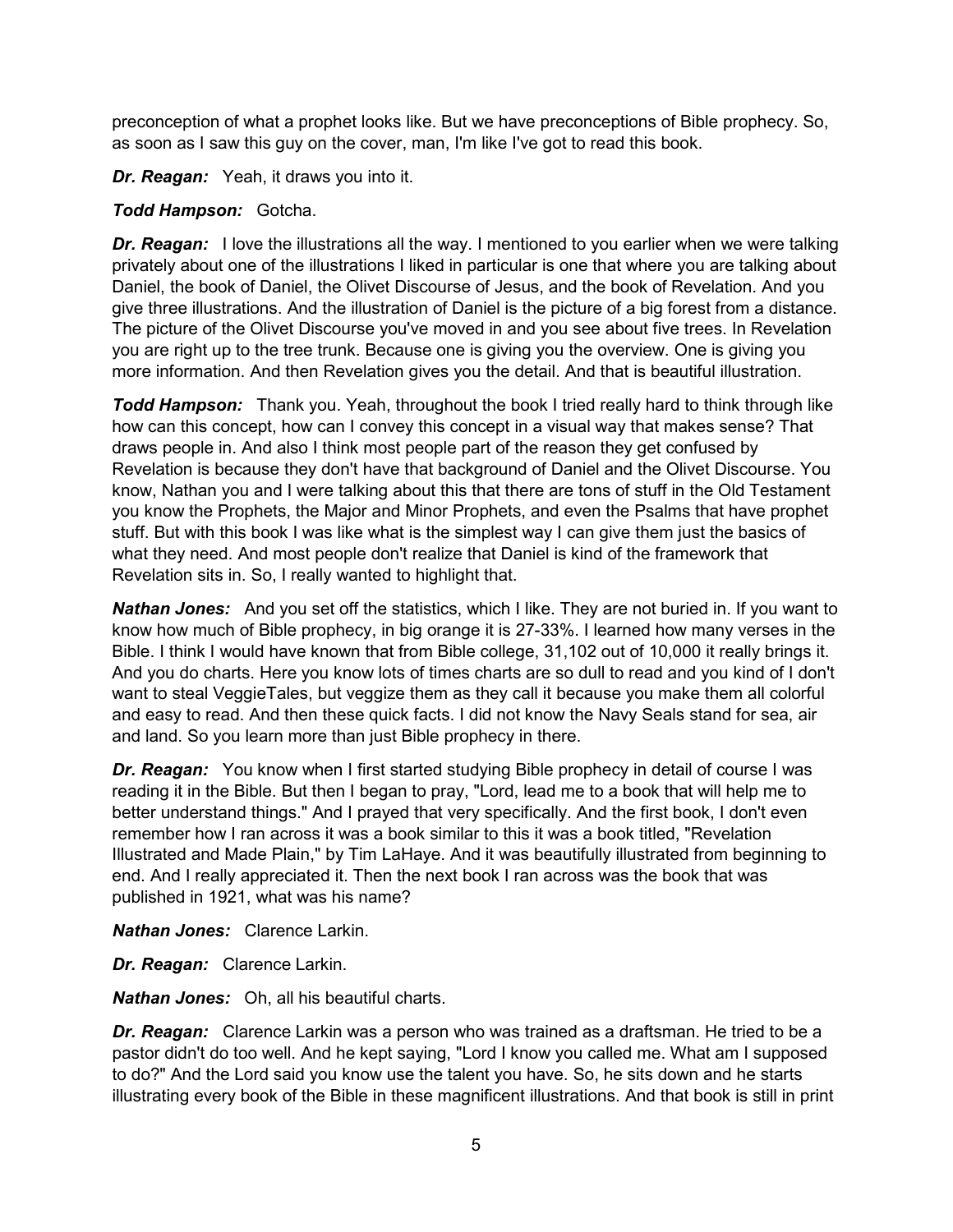preconception of what a prophet looks like. But we have preconceptions of Bible prophecy. So, as soon as I saw this guy on the cover, man, I'm like I've got to read this book.

*Dr. Reagan:* Yeah, it draws you into it.

## *Todd Hampson:* Gotcha.

**Dr. Reagan:** I love the illustrations all the way. I mentioned to you earlier when we were talking privately about one of the illustrations I liked in particular is one that where you are talking about Daniel, the book of Daniel, the Olivet Discourse of Jesus, and the book of Revelation. And you give three illustrations. And the illustration of Daniel is the picture of a big forest from a distance. The picture of the Olivet Discourse you've moved in and you see about five trees. In Revelation you are right up to the tree trunk. Because one is giving you the overview. One is giving you more information. And then Revelation gives you the detail. And that is beautiful illustration.

*Todd Hampson:* Thank you. Yeah, throughout the book I tried really hard to think through like how can this concept, how can I convey this concept in a visual way that makes sense? That draws people in. And also I think most people part of the reason they get confused by Revelation is because they don't have that background of Daniel and the Olivet Discourse. You know, Nathan you and I were talking about this that there are tons of stuff in the Old Testament you know the Prophets, the Major and Minor Prophets, and even the Psalms that have prophet stuff. But with this book I was like what is the simplest way I can give them just the basics of what they need. And most people don't realize that Daniel is kind of the framework that Revelation sits in. So, I really wanted to highlight that.

*Nathan Jones:* And you set off the statistics, which I like. They are not buried in. If you want to know how much of Bible prophecy, in big orange it is 27-33%. I learned how many verses in the Bible. I think I would have known that from Bible college, 31,102 out of 10,000 it really brings it. And you do charts. Here you know lots of times charts are so dull to read and you kind of I don't want to steal VeggieTales, but veggize them as they call it because you make them all colorful and easy to read. And then these quick facts. I did not know the Navy Seals stand for sea, air and land. So you learn more than just Bible prophecy in there.

**Dr. Reagan:** You know when I first started studying Bible prophecy in detail of course I was reading it in the Bible. But then I began to pray, "Lord, lead me to a book that will help me to better understand things." And I prayed that very specifically. And the first book, I don't even remember how I ran across it was a book similar to this it was a book titled, "Revelation Illustrated and Made Plain," by Tim LaHaye. And it was beautifully illustrated from beginning to end. And I really appreciated it. Then the next book I ran across was the book that was published in 1921, what was his name?

*Nathan Jones:* Clarence Larkin.

*Dr. Reagan:* Clarence Larkin.

*Nathan Jones:* Oh, all his beautiful charts.

*Dr. Reagan:* Clarence Larkin was a person who was trained as a draftsman. He tried to be a pastor didn't do too well. And he kept saying, "Lord I know you called me. What am I supposed to do?" And the Lord said you know use the talent you have. So, he sits down and he starts illustrating every book of the Bible in these magnificent illustrations. And that book is still in print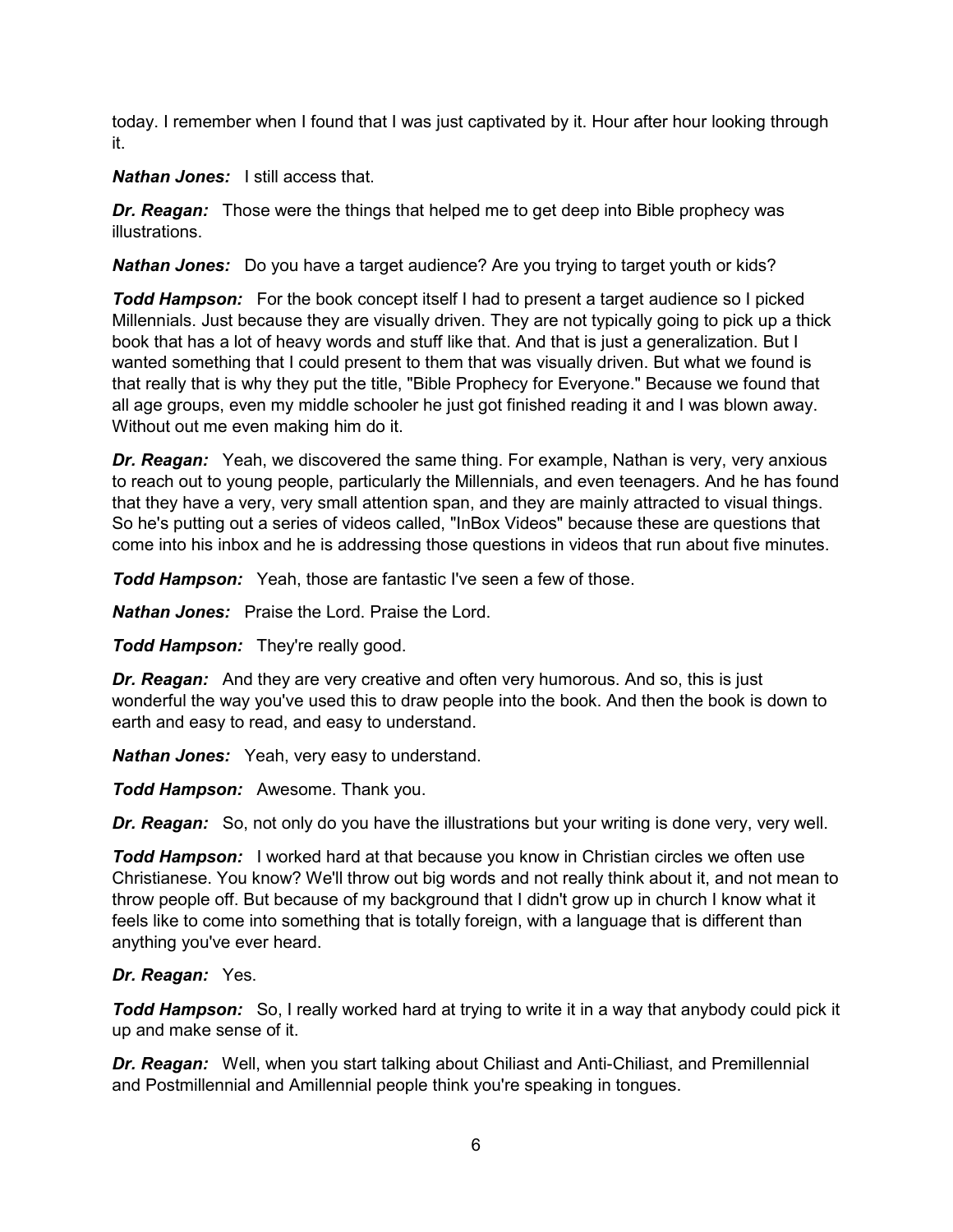today. I remember when I found that I was just captivated by it. Hour after hour looking through it.

*Nathan Jones:* I still access that.

*Dr. Reagan:* Those were the things that helped me to get deep into Bible prophecy was illustrations.

*Nathan Jones:* Do you have a target audience? Are you trying to target youth or kids?

*Todd Hampson:* For the book concept itself I had to present a target audience so I picked Millennials. Just because they are visually driven. They are not typically going to pick up a thick book that has a lot of heavy words and stuff like that. And that is just a generalization. But I wanted something that I could present to them that was visually driven. But what we found is that really that is why they put the title, "Bible Prophecy for Everyone." Because we found that all age groups, even my middle schooler he just got finished reading it and I was blown away. Without out me even making him do it.

*Dr. Reagan:* Yeah, we discovered the same thing. For example, Nathan is very, very anxious to reach out to young people, particularly the Millennials, and even teenagers. And he has found that they have a very, very small attention span, and they are mainly attracted to visual things. So he's putting out a series of videos called, "InBox Videos" because these are questions that come into his inbox and he is addressing those questions in videos that run about five minutes.

*Todd Hampson:* Yeah, those are fantastic I've seen a few of those.

*Nathan Jones:* Praise the Lord. Praise the Lord.

*Todd Hampson:* They're really good.

*Dr. Reagan:* And they are very creative and often very humorous. And so, this is just wonderful the way you've used this to draw people into the book. And then the book is down to earth and easy to read, and easy to understand.

*Nathan Jones:* Yeah, very easy to understand.

*Todd Hampson:* Awesome. Thank you.

*Dr. Reagan:* So, not only do you have the illustrations but your writing is done very, very well.

*Todd Hampson:* I worked hard at that because you know in Christian circles we often use Christianese. You know? We'll throw out big words and not really think about it, and not mean to throw people off. But because of my background that I didn't grow up in church I know what it feels like to come into something that is totally foreign, with a language that is different than anything you've ever heard.

## *Dr. Reagan:* Yes.

*Todd Hampson:* So, I really worked hard at trying to write it in a way that anybody could pick it up and make sense of it.

*Dr. Reagan:* Well, when you start talking about Chiliast and Anti-Chiliast, and Premillennial and Postmillennial and Amillennial people think you're speaking in tongues.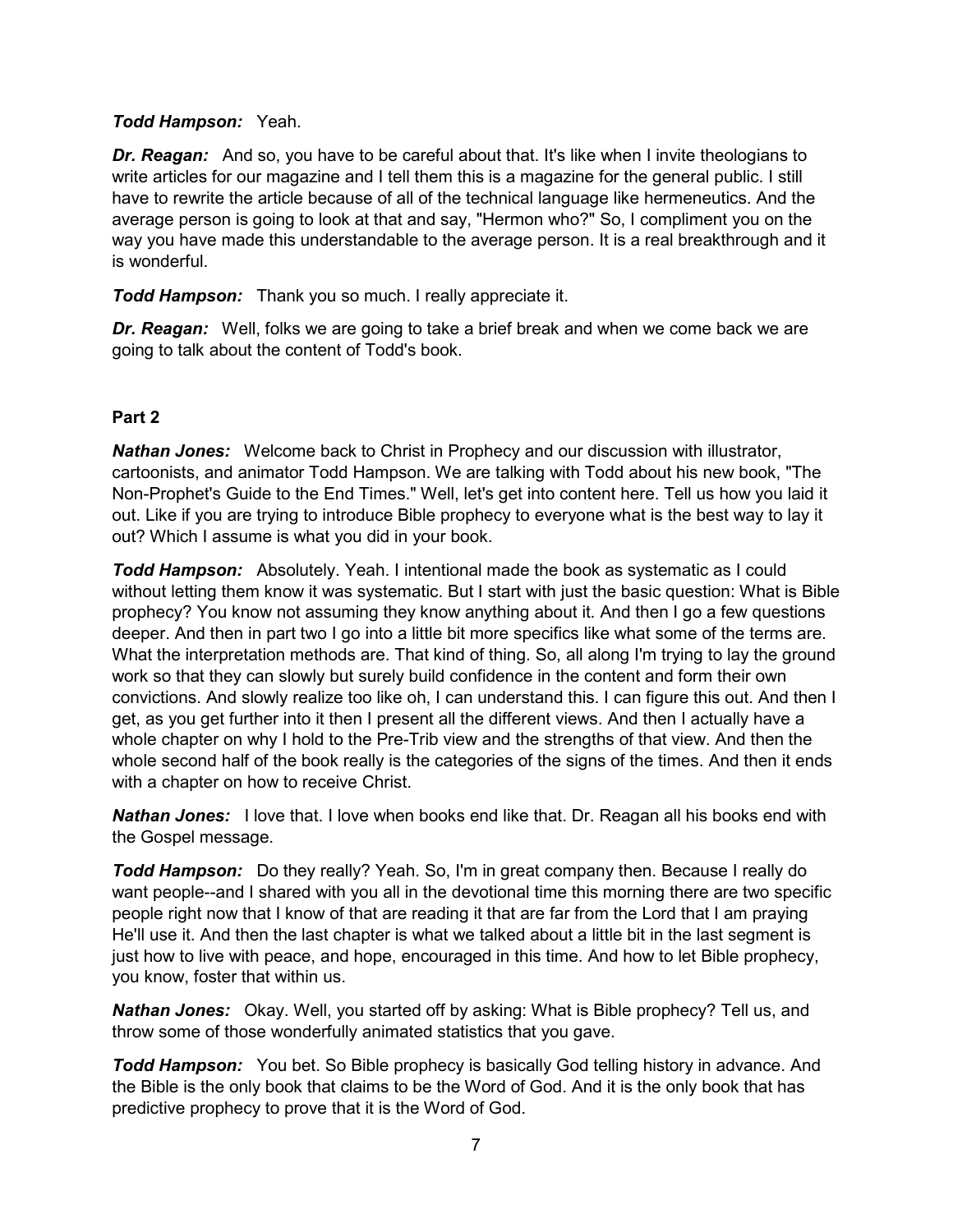## *Todd Hampson:* Yeah.

*Dr. Reagan:* And so, you have to be careful about that. It's like when I invite theologians to write articles for our magazine and I tell them this is a magazine for the general public. I still have to rewrite the article because of all of the technical language like hermeneutics. And the average person is going to look at that and say, "Hermon who?" So, I compliment you on the way you have made this understandable to the average person. It is a real breakthrough and it is wonderful.

*Todd Hampson:* Thank you so much. I really appreciate it.

*Dr. Reagan:* Well, folks we are going to take a brief break and when we come back we are going to talk about the content of Todd's book.

## **Part 2**

*Nathan Jones:* Welcome back to Christ in Prophecy and our discussion with illustrator, cartoonists, and animator Todd Hampson. We are talking with Todd about his new book, "The Non-Prophet's Guide to the End Times." Well, let's get into content here. Tell us how you laid it out. Like if you are trying to introduce Bible prophecy to everyone what is the best way to lay it out? Which I assume is what you did in your book.

*Todd Hampson:* Absolutely. Yeah. I intentional made the book as systematic as I could without letting them know it was systematic. But I start with just the basic question: What is Bible prophecy? You know not assuming they know anything about it. And then I go a few questions deeper. And then in part two I go into a little bit more specifics like what some of the terms are. What the interpretation methods are. That kind of thing. So, all along I'm trying to lay the ground work so that they can slowly but surely build confidence in the content and form their own convictions. And slowly realize too like oh, I can understand this. I can figure this out. And then I get, as you get further into it then I present all the different views. And then I actually have a whole chapter on why I hold to the Pre-Trib view and the strengths of that view. And then the whole second half of the book really is the categories of the signs of the times. And then it ends with a chapter on how to receive Christ.

*Nathan Jones:* I love that. I love when books end like that. Dr. Reagan all his books end with the Gospel message.

*Todd Hampson:* Do they really? Yeah. So, I'm in great company then. Because I really do want people--and I shared with you all in the devotional time this morning there are two specific people right now that I know of that are reading it that are far from the Lord that I am praying He'll use it. And then the last chapter is what we talked about a little bit in the last segment is just how to live with peace, and hope, encouraged in this time. And how to let Bible prophecy, you know, foster that within us.

*Nathan Jones:* Okay. Well, you started off by asking: What is Bible prophecy? Tell us, and throw some of those wonderfully animated statistics that you gave.

*Todd Hampson:* You bet. So Bible prophecy is basically God telling history in advance. And the Bible is the only book that claims to be the Word of God. And it is the only book that has predictive prophecy to prove that it is the Word of God.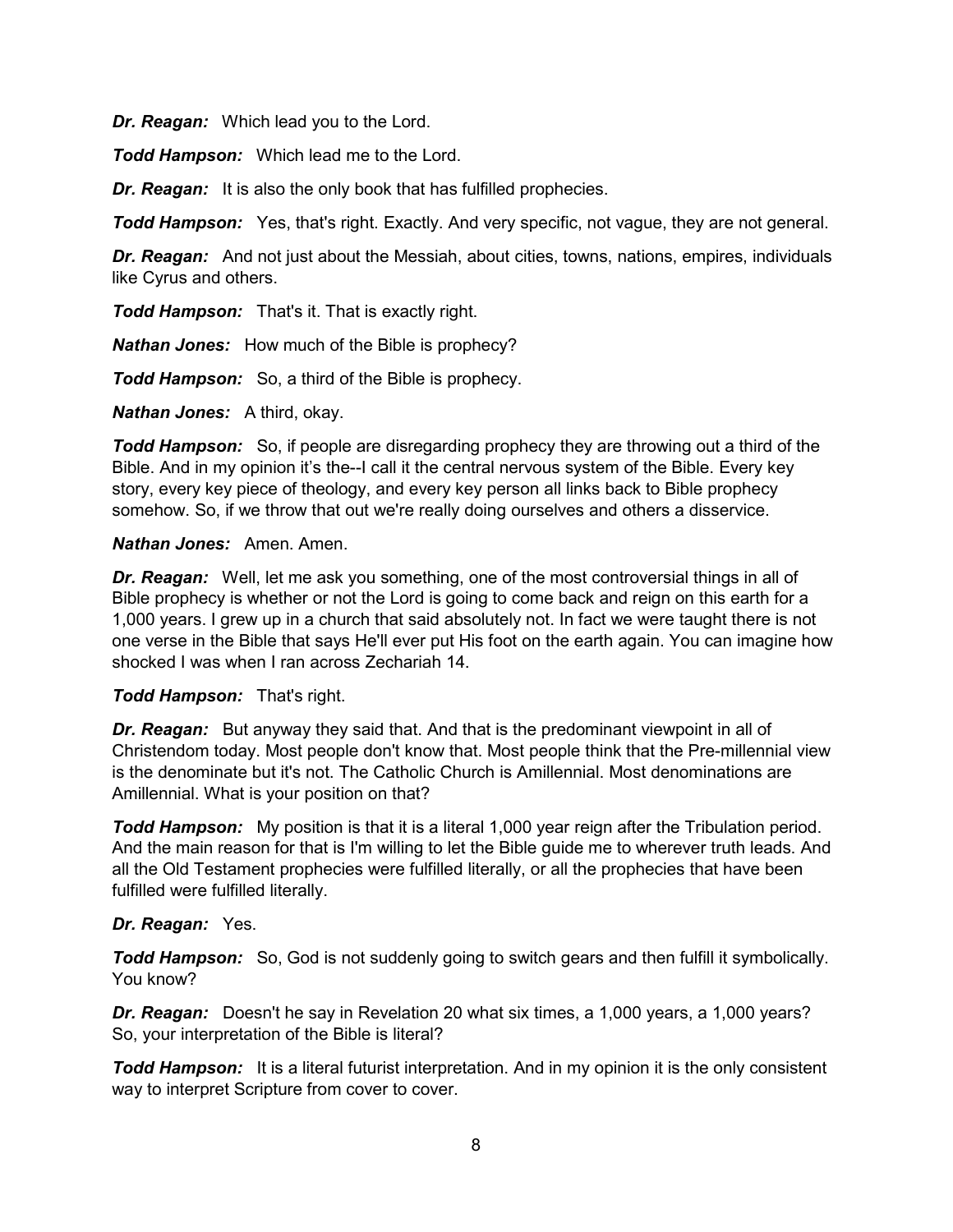*Dr. Reagan:* Which lead you to the Lord.

*Todd Hampson:* Which lead me to the Lord.

**Dr. Reagan:** It is also the only book that has fulfilled prophecies.

**Todd Hampson:** Yes, that's right. Exactly. And very specific, not vague, they are not general.

*Dr. Reagan:* And not just about the Messiah, about cities, towns, nations, empires, individuals like Cyrus and others.

*Todd Hampson:* That's it. That is exactly right.

*Nathan Jones:* How much of the Bible is prophecy?

*Todd Hampson:* So, a third of the Bible is prophecy.

*Nathan Jones:* A third, okay.

*Todd Hampson:* So, if people are disregarding prophecy they are throwing out a third of the Bible. And in my opinion it's the--I call it the central nervous system of the Bible. Every key story, every key piece of theology, and every key person all links back to Bible prophecy somehow. So, if we throw that out we're really doing ourselves and others a disservice.

### *Nathan Jones:* Amen. Amen.

*Dr. Reagan:* Well, let me ask you something, one of the most controversial things in all of Bible prophecy is whether or not the Lord is going to come back and reign on this earth for a 1,000 years. I grew up in a church that said absolutely not. In fact we were taught there is not one verse in the Bible that says He'll ever put His foot on the earth again. You can imagine how shocked I was when I ran across Zechariah 14.

## *Todd Hampson:* That's right.

*Dr. Reagan:* But anyway they said that. And that is the predominant viewpoint in all of Christendom today. Most people don't know that. Most people think that the Pre-millennial view is the denominate but it's not. The Catholic Church is Amillennial. Most denominations are Amillennial. What is your position on that?

*Todd Hampson:* My position is that it is a literal 1,000 year reign after the Tribulation period. And the main reason for that is I'm willing to let the Bible guide me to wherever truth leads. And all the Old Testament prophecies were fulfilled literally, or all the prophecies that have been fulfilled were fulfilled literally.

## *Dr. Reagan:* Yes.

**Todd Hampson:** So, God is not suddenly going to switch gears and then fulfill it symbolically. You know?

*Dr. Reagan:* Doesn't he say in Revelation 20 what six times, a 1,000 years, a 1,000 years? So, your interpretation of the Bible is literal?

*Todd Hampson:* It is a literal futurist interpretation. And in my opinion it is the only consistent way to interpret Scripture from cover to cover.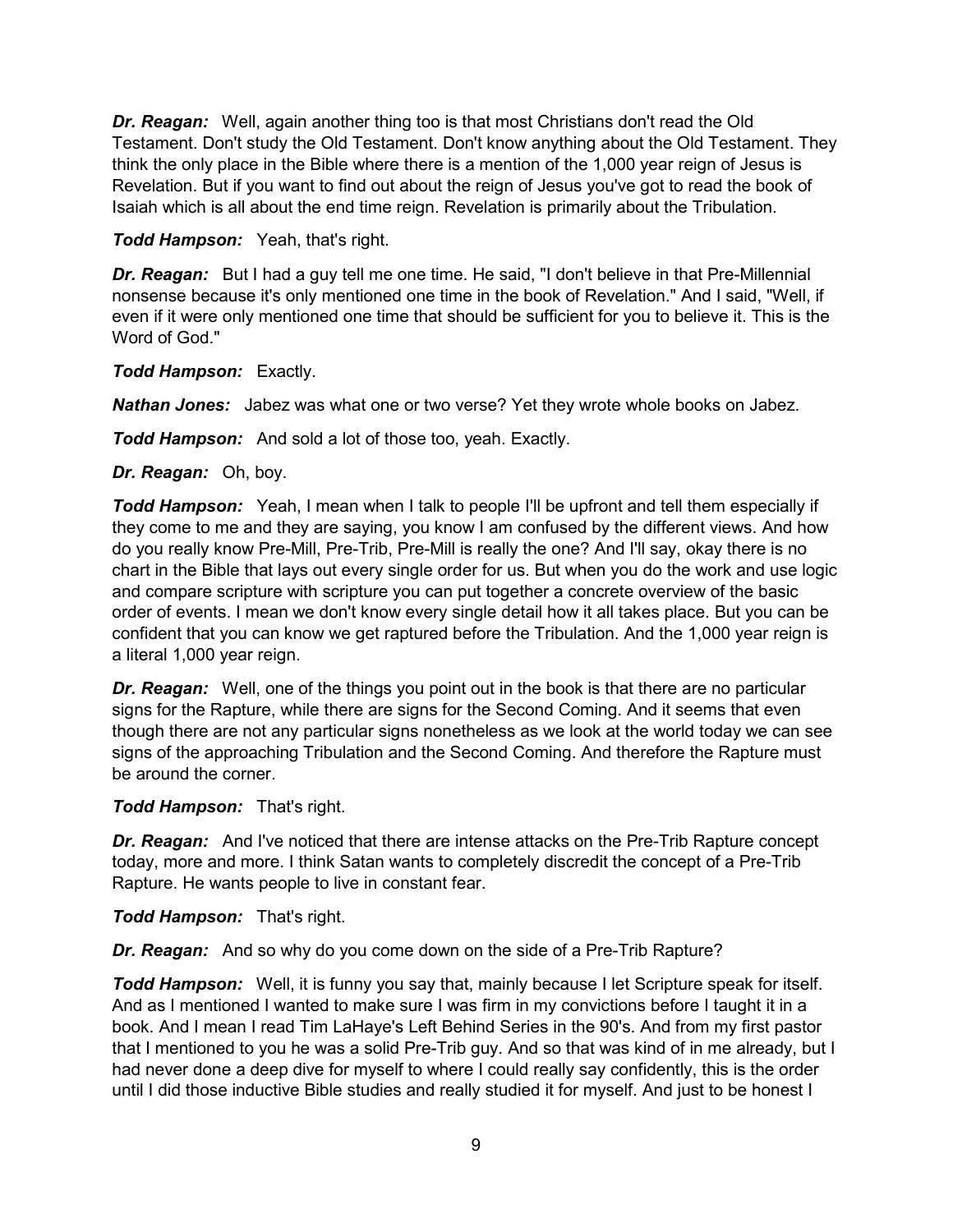*Dr. Reagan:* Well, again another thing too is that most Christians don't read the Old Testament. Don't study the Old Testament. Don't know anything about the Old Testament. They think the only place in the Bible where there is a mention of the 1,000 year reign of Jesus is Revelation. But if you want to find out about the reign of Jesus you've got to read the book of Isaiah which is all about the end time reign. Revelation is primarily about the Tribulation.

## *Todd Hampson:* Yeah, that's right.

*Dr. Reagan:* But I had a guy tell me one time. He said, "I don't believe in that Pre-Millennial nonsense because it's only mentioned one time in the book of Revelation." And I said, "Well, if even if it were only mentioned one time that should be sufficient for you to believe it. This is the Word of God."

### *Todd Hampson:* Exactly.

*Nathan Jones:* Jabez was what one or two verse? Yet they wrote whole books on Jabez.

*Todd Hampson:* And sold a lot of those too, yeah. Exactly.

### *Dr. Reagan:* Oh, boy.

*Todd Hampson:* Yeah, I mean when I talk to people I'll be upfront and tell them especially if they come to me and they are saying, you know I am confused by the different views. And how do you really know Pre-Mill, Pre-Trib, Pre-Mill is really the one? And I'll say, okay there is no chart in the Bible that lays out every single order for us. But when you do the work and use logic and compare scripture with scripture you can put together a concrete overview of the basic order of events. I mean we don't know every single detail how it all takes place. But you can be confident that you can know we get raptured before the Tribulation. And the 1,000 year reign is a literal 1,000 year reign.

*Dr. Reagan:* Well, one of the things you point out in the book is that there are no particular signs for the Rapture, while there are signs for the Second Coming. And it seems that even though there are not any particular signs nonetheless as we look at the world today we can see signs of the approaching Tribulation and the Second Coming. And therefore the Rapture must be around the corner.

## *Todd Hampson:* That's right.

**Dr. Reagan:** And I've noticed that there are intense attacks on the Pre-Trib Rapture concept today, more and more. I think Satan wants to completely discredit the concept of a Pre-Trib Rapture. He wants people to live in constant fear.

*Todd Hampson:* That's right.

*Dr. Reagan:* And so why do you come down on the side of a Pre-Trib Rapture?

*Todd Hampson:* Well, it is funny you say that, mainly because I let Scripture speak for itself. And as I mentioned I wanted to make sure I was firm in my convictions before I taught it in a book. And I mean I read Tim LaHaye's Left Behind Series in the 90's. And from my first pastor that I mentioned to you he was a solid Pre-Trib guy. And so that was kind of in me already, but I had never done a deep dive for myself to where I could really say confidently, this is the order until I did those inductive Bible studies and really studied it for myself. And just to be honest I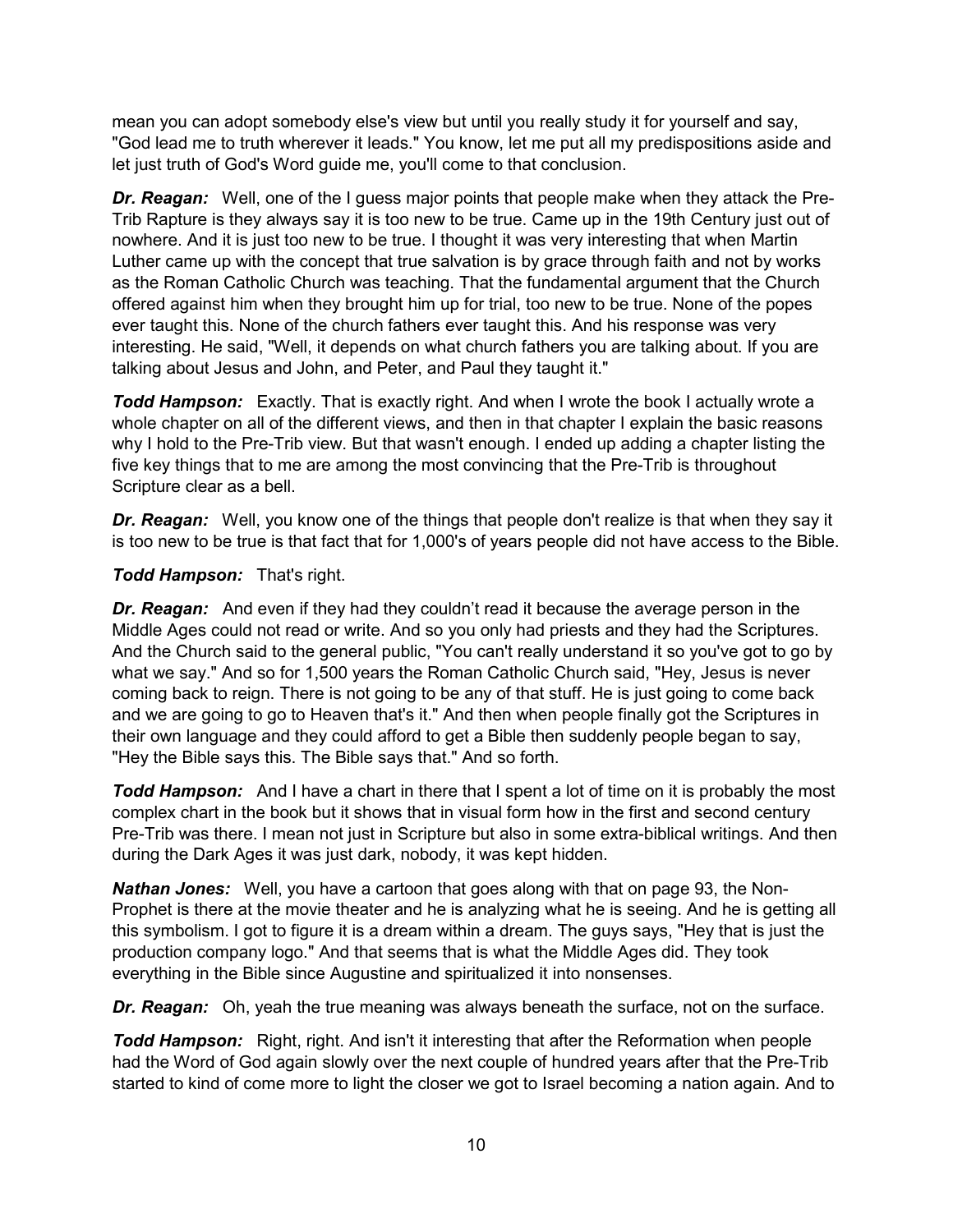mean you can adopt somebody else's view but until you really study it for yourself and say, "God lead me to truth wherever it leads." You know, let me put all my predispositions aside and let just truth of God's Word guide me, you'll come to that conclusion.

*Dr. Reagan:* Well, one of the I guess major points that people make when they attack the Pre-Trib Rapture is they always say it is too new to be true. Came up in the 19th Century just out of nowhere. And it is just too new to be true. I thought it was very interesting that when Martin Luther came up with the concept that true salvation is by grace through faith and not by works as the Roman Catholic Church was teaching. That the fundamental argument that the Church offered against him when they brought him up for trial, too new to be true. None of the popes ever taught this. None of the church fathers ever taught this. And his response was very interesting. He said, "Well, it depends on what church fathers you are talking about. If you are talking about Jesus and John, and Peter, and Paul they taught it."

**Todd Hampson:** Exactly. That is exactly right. And when I wrote the book I actually wrote a whole chapter on all of the different views, and then in that chapter I explain the basic reasons why I hold to the Pre-Trib view. But that wasn't enough. I ended up adding a chapter listing the five key things that to me are among the most convincing that the Pre-Trib is throughout Scripture clear as a bell.

*Dr. Reagan:* Well, you know one of the things that people don't realize is that when they say it is too new to be true is that fact that for 1,000's of years people did not have access to the Bible.

# *Todd Hampson:* That's right.

*Dr. Reagan:* And even if they had they couldn't read it because the average person in the Middle Ages could not read or write. And so you only had priests and they had the Scriptures. And the Church said to the general public, "You can't really understand it so you've got to go by what we say." And so for 1,500 years the Roman Catholic Church said, "Hey, Jesus is never coming back to reign. There is not going to be any of that stuff. He is just going to come back and we are going to go to Heaven that's it." And then when people finally got the Scriptures in their own language and they could afford to get a Bible then suddenly people began to say, "Hey the Bible says this. The Bible says that." And so forth.

*Todd Hampson:* And I have a chart in there that I spent a lot of time on it is probably the most complex chart in the book but it shows that in visual form how in the first and second century Pre-Trib was there. I mean not just in Scripture but also in some extra-biblical writings. And then during the Dark Ages it was just dark, nobody, it was kept hidden.

*Nathan Jones:* Well, you have a cartoon that goes along with that on page 93, the Non-Prophet is there at the movie theater and he is analyzing what he is seeing. And he is getting all this symbolism. I got to figure it is a dream within a dream. The guys says, "Hey that is just the production company logo." And that seems that is what the Middle Ages did. They took everything in the Bible since Augustine and spiritualized it into nonsenses.

*Dr. Reagan:* Oh, yeah the true meaning was always beneath the surface, not on the surface.

*Todd Hampson:* Right, right. And isn't it interesting that after the Reformation when people had the Word of God again slowly over the next couple of hundred years after that the Pre-Trib started to kind of come more to light the closer we got to Israel becoming a nation again. And to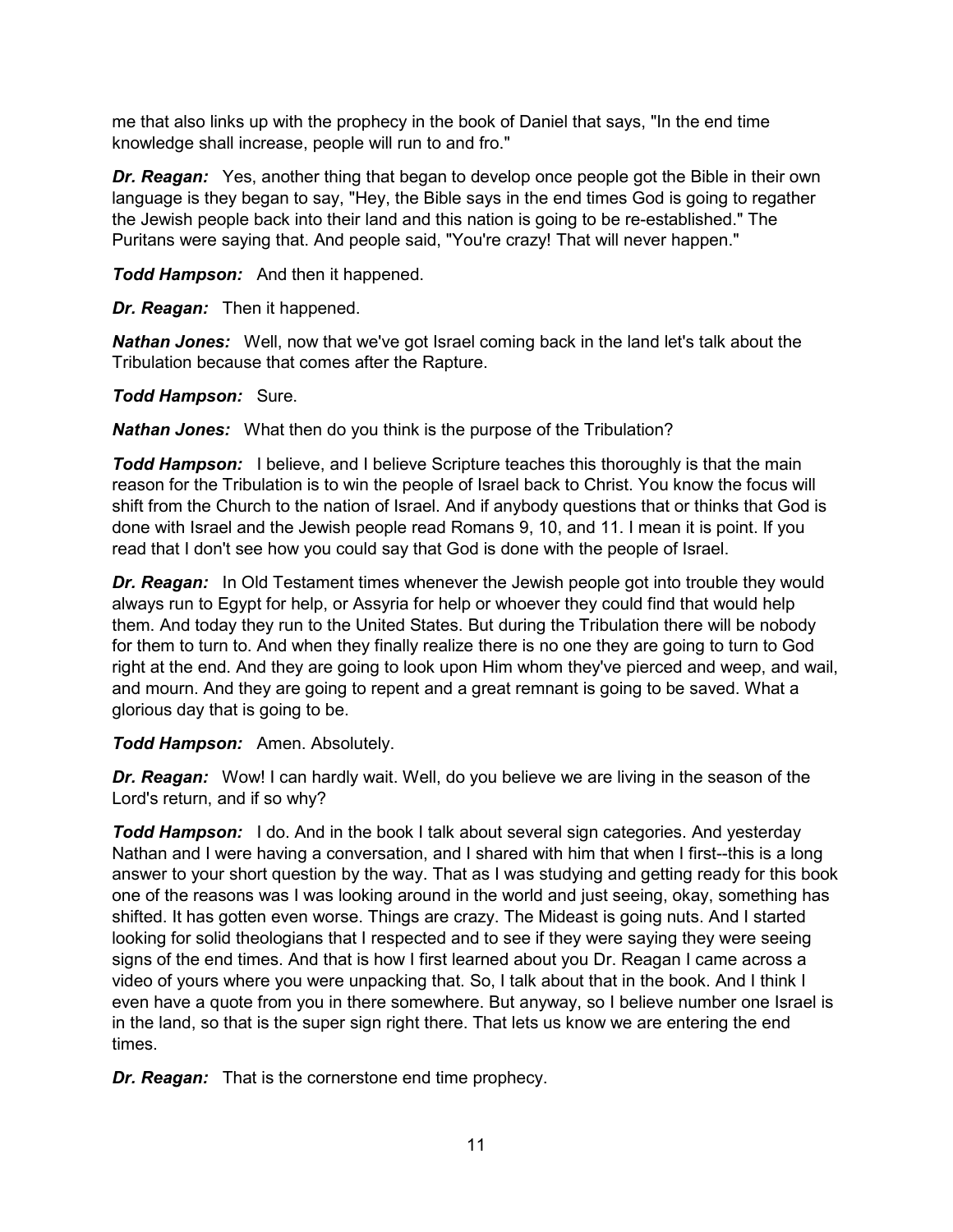me that also links up with the prophecy in the book of Daniel that says, "In the end time knowledge shall increase, people will run to and fro."

*Dr. Reagan:* Yes, another thing that began to develop once people got the Bible in their own language is they began to say, "Hey, the Bible says in the end times God is going to regather the Jewish people back into their land and this nation is going to be re-established." The Puritans were saying that. And people said, "You're crazy! That will never happen."

*Todd Hampson:* And then it happened.

*Dr. Reagan:* Then it happened.

*Nathan Jones:* Well, now that we've got Israel coming back in the land let's talk about the Tribulation because that comes after the Rapture.

*Todd Hampson:* Sure.

*Nathan Jones:* What then do you think is the purpose of the Tribulation?

*Todd Hampson:* I believe, and I believe Scripture teaches this thoroughly is that the main reason for the Tribulation is to win the people of Israel back to Christ. You know the focus will shift from the Church to the nation of Israel. And if anybody questions that or thinks that God is done with Israel and the Jewish people read Romans 9, 10, and 11. I mean it is point. If you read that I don't see how you could say that God is done with the people of Israel.

*Dr. Reagan:* In Old Testament times whenever the Jewish people got into trouble they would always run to Egypt for help, or Assyria for help or whoever they could find that would help them. And today they run to the United States. But during the Tribulation there will be nobody for them to turn to. And when they finally realize there is no one they are going to turn to God right at the end. And they are going to look upon Him whom they've pierced and weep, and wail, and mourn. And they are going to repent and a great remnant is going to be saved. What a glorious day that is going to be.

*Todd Hampson:* Amen. Absolutely.

*Dr. Reagan:* Wow! I can hardly wait. Well, do you believe we are living in the season of the Lord's return, and if so why?

*Todd Hampson:* I do. And in the book I talk about several sign categories. And yesterday Nathan and I were having a conversation, and I shared with him that when I first--this is a long answer to your short question by the way. That as I was studying and getting ready for this book one of the reasons was I was looking around in the world and just seeing, okay, something has shifted. It has gotten even worse. Things are crazy. The Mideast is going nuts. And I started looking for solid theologians that I respected and to see if they were saying they were seeing signs of the end times. And that is how I first learned about you Dr. Reagan I came across a video of yours where you were unpacking that. So, I talk about that in the book. And I think I even have a quote from you in there somewhere. But anyway, so I believe number one Israel is in the land, so that is the super sign right there. That lets us know we are entering the end times.

*Dr. Reagan:* That is the cornerstone end time prophecy.